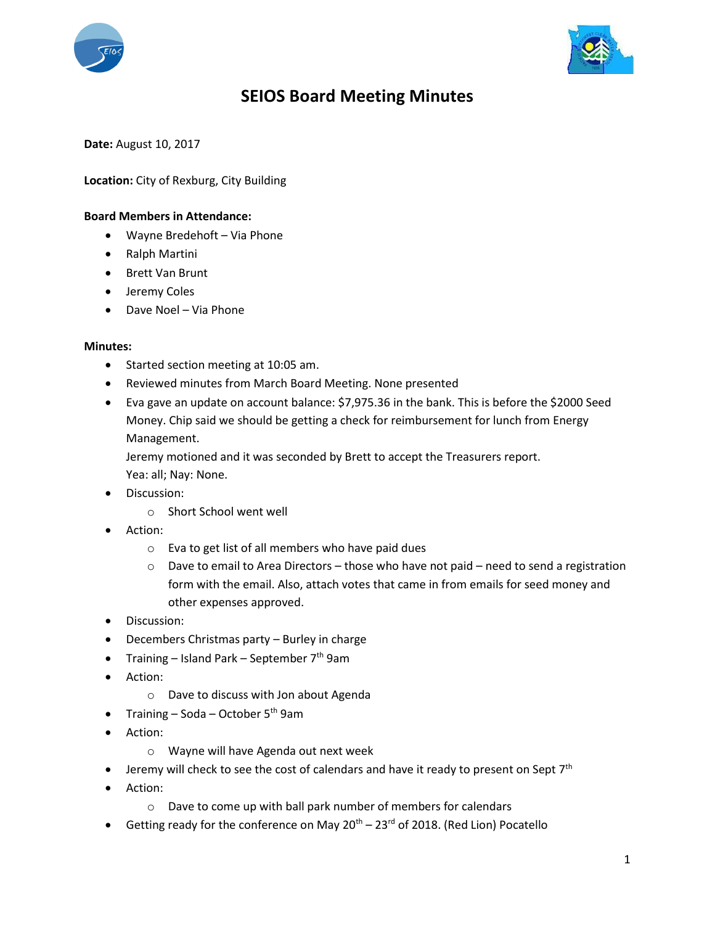



## **SEIOS Board Meeting Minutes**

**Date:** August 10, 2017

**Location:** City of Rexburg, City Building

## **Board Members in Attendance:**

- Wayne Bredehoft Via Phone
- Ralph Martini
- Brett Van Brunt
- **•** Jeremy Coles
- Dave Noel Via Phone

## **Minutes:**

- Started section meeting at 10:05 am.
- Reviewed minutes from March Board Meeting. None presented
- Eva gave an update on account balance: \$7,975.36 in the bank. This is before the \$2000 Seed Money. Chip said we should be getting a check for reimbursement for lunch from Energy Management.

Jeremy motioned and it was seconded by Brett to accept the Treasurers report. Yea: all; Nay: None.

- **•** Discussion:
	- o Short School went well
- Action:
	- o Eva to get list of all members who have paid dues
	- $\circ$  Dave to email to Area Directors those who have not paid need to send a registration form with the email. Also, attach votes that came in from emails for seed money and other expenses approved.
- Discussion:
- Decembers Christmas party Burley in charge
- Training Island Park September  $7<sup>th</sup>$  9am
- Action:
	- o Dave to discuss with Jon about Agenda
- Training Soda October  $5<sup>th</sup>$  9am
- Action:
	- o Wayne will have Agenda out next week
- **•** Jeremy will check to see the cost of calendars and have it ready to present on Sept  $7<sup>th</sup>$
- Action:
	- o Dave to come up with ball park number of members for calendars
- Getting ready for the conference on May  $20^{th} 23^{rd}$  of 2018. (Red Lion) Pocatello